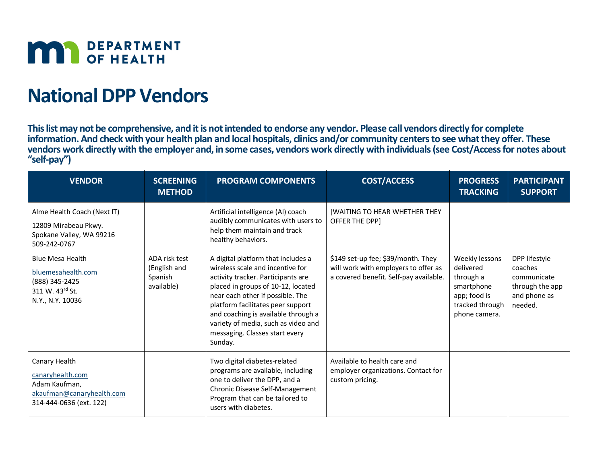

# **National DPP Vendors**

**This list may not be comprehensive, and it is not intended to endorse any vendor. Please call vendors directly for complete information. And check with your health plan and local hospitals, clinics and/or community centers to see what they offer. These vendors work directly with the employer and, in some cases, vendors work directly with individuals(see Cost/Access for notes about "self-pay")**

| <b>VENDOR</b>                                                                                              | <b>SCREENING</b><br><b>METHOD</b>                      | <b>PROGRAM COMPONENTS</b>                                                                                                                                                                                                                                                                                                                              | <b>COST/ACCESS</b>                                                                                                   | <b>PROGRESS</b><br><b>TRACKING</b>                                                                         | <b>PARTICIPANT</b><br><b>SUPPORT</b>                                                  |
|------------------------------------------------------------------------------------------------------------|--------------------------------------------------------|--------------------------------------------------------------------------------------------------------------------------------------------------------------------------------------------------------------------------------------------------------------------------------------------------------------------------------------------------------|----------------------------------------------------------------------------------------------------------------------|------------------------------------------------------------------------------------------------------------|---------------------------------------------------------------------------------------|
| Alme Health Coach (Next IT)<br>12809 Mirabeau Pkwy.<br>Spokane Valley, WA 99216<br>509-242-0767            |                                                        | Artificial intelligence (AI) coach<br>audibly communicates with users to<br>help them maintain and track<br>healthy behaviors.                                                                                                                                                                                                                         | <b>[WAITING TO HEAR WHETHER THEY</b><br><b>OFFER THE DPPI</b>                                                        |                                                                                                            |                                                                                       |
| <b>Blue Mesa Health</b><br>bluemesahealth.com<br>(888) 345-2425<br>311 W. 43rd St.<br>N.Y., N.Y. 10036     | ADA risk test<br>(English and<br>Spanish<br>available) | A digital platform that includes a<br>wireless scale and incentive for<br>activity tracker. Participants are<br>placed in groups of 10-12, located<br>near each other if possible. The<br>platform facilitates peer support<br>and coaching is available through a<br>variety of media, such as video and<br>messaging. Classes start every<br>Sunday. | \$149 set-up fee; \$39/month. They<br>will work with employers to offer as<br>a covered benefit. Self-pay available. | Weekly lessons<br>delivered<br>through a<br>smartphone<br>app; food is<br>tracked through<br>phone camera. | DPP lifestyle<br>coaches<br>communicate<br>through the app<br>and phone as<br>needed. |
| Canary Health<br>canaryhealth.com<br>Adam Kaufman,<br>akaufman@canaryhealth.com<br>314-444-0636 (ext. 122) |                                                        | Two digital diabetes-related<br>programs are available, including<br>one to deliver the DPP, and a<br>Chronic Disease Self-Management<br>Program that can be tailored to<br>users with diabetes.                                                                                                                                                       | Available to health care and<br>employer organizations. Contact for<br>custom pricing.                               |                                                                                                            |                                                                                       |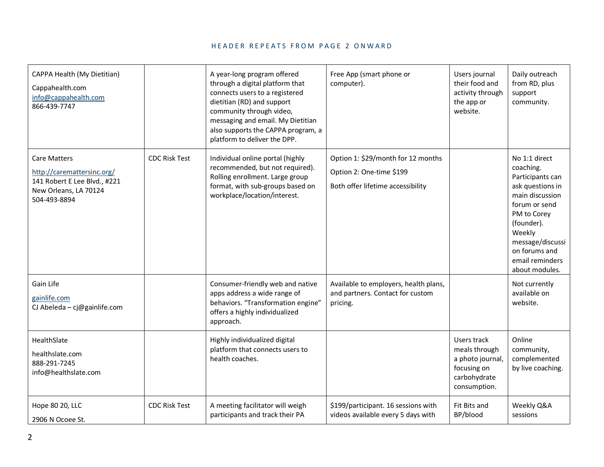| CAPPA Health (My Dietitian)<br>Cappahealth.com<br>info@cappahealth.com<br>866-439-7747                                     |                      | A year-long program offered<br>through a digital platform that<br>connects users to a registered<br>dietitian (RD) and support<br>community through video,<br>messaging and email. My Dietitian<br>also supports the CAPPA program, a<br>platform to deliver the DPP. | Free App (smart phone or<br>computer).                                                              | Users journal<br>their food and<br>activity through<br>the app or<br>website.                   | Daily outreach<br>from RD, plus<br>support<br>community.                                                                                                                                                                |
|----------------------------------------------------------------------------------------------------------------------------|----------------------|-----------------------------------------------------------------------------------------------------------------------------------------------------------------------------------------------------------------------------------------------------------------------|-----------------------------------------------------------------------------------------------------|-------------------------------------------------------------------------------------------------|-------------------------------------------------------------------------------------------------------------------------------------------------------------------------------------------------------------------------|
| <b>Care Matters</b><br>http://caremattersinc.org/<br>141 Robert E Lee Blvd., #221<br>New Orleans, LA 70124<br>504-493-8894 | <b>CDC Risk Test</b> | Individual online portal (highly<br>recommended, but not required).<br>Rolling enrollment. Large group<br>format, with sub-groups based on<br>workplace/location/interest.                                                                                            | Option 1: \$29/month for 12 months<br>Option 2: One-time \$199<br>Both offer lifetime accessibility |                                                                                                 | No 1:1 direct<br>coaching.<br>Participants can<br>ask questions in<br>main discussion<br>forum or send<br>PM to Corey<br>(founder).<br>Weekly<br>message/discussi<br>on forums and<br>email reminders<br>about modules. |
| Gain Life<br>gainlife.com<br>CJ Abeleda - cj@gainlife.com                                                                  |                      | Consumer-friendly web and native<br>apps address a wide range of<br>behaviors. "Transformation engine"<br>offers a highly individualized<br>approach.                                                                                                                 | Available to employers, health plans,<br>and partners. Contact for custom<br>pricing.               |                                                                                                 | Not currently<br>available on<br>website.                                                                                                                                                                               |
| HealthSlate<br>healthslate.com<br>888-291-7245<br>info@healthslate.com                                                     |                      | Highly individualized digital<br>platform that connects users to<br>health coaches.                                                                                                                                                                                   |                                                                                                     | Users track<br>meals through<br>a photo journal,<br>focusing on<br>carbohydrate<br>consumption. | Online<br>community,<br>complemented<br>by live coaching.                                                                                                                                                               |
| Hope 80 20, LLC<br>2906 N Ocoee St.                                                                                        | <b>CDC Risk Test</b> | A meeting facilitator will weigh<br>participants and track their PA                                                                                                                                                                                                   | \$199/participant. 16 sessions with<br>videos available every 5 days with                           | Fit Bits and<br>BP/blood                                                                        | Weekly Q&A<br>sessions                                                                                                                                                                                                  |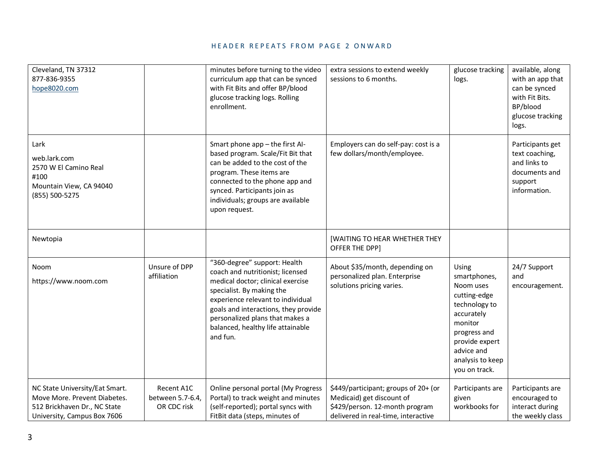| Cleveland, TN 37312<br>877-836-9355<br>hope8020.com                                                                           |                                               | minutes before turning to the video<br>curriculum app that can be synced<br>with Fit Bits and offer BP/blood<br>glucose tracking logs. Rolling<br>enrollment.                                                                                                                                       | extra sessions to extend weekly<br>sessions to 6 months.                                                                                   | glucose tracking<br>logs.                                                                                                                                                         | available, along<br>with an app that<br>can be synced<br>with Fit Bits.<br>BP/blood<br>glucose tracking<br>logs. |
|-------------------------------------------------------------------------------------------------------------------------------|-----------------------------------------------|-----------------------------------------------------------------------------------------------------------------------------------------------------------------------------------------------------------------------------------------------------------------------------------------------------|--------------------------------------------------------------------------------------------------------------------------------------------|-----------------------------------------------------------------------------------------------------------------------------------------------------------------------------------|------------------------------------------------------------------------------------------------------------------|
| Lark<br>web.lark.com<br>2570 W El Camino Real<br>#100<br>Mountain View, CA 94040<br>(855) 500-5275                            |                                               | Smart phone app - the first Al-<br>based program. Scale/Fit Bit that<br>can be added to the cost of the<br>program. These items are<br>connected to the phone app and<br>synced. Participants join as<br>individuals; groups are available<br>upon request.                                         | Employers can do self-pay: cost is a<br>few dollars/month/employee.                                                                        |                                                                                                                                                                                   | Participants get<br>text coaching,<br>and links to<br>documents and<br>support<br>information.                   |
| Newtopia                                                                                                                      |                                               |                                                                                                                                                                                                                                                                                                     | [WAITING TO HEAR WHETHER THEY<br>OFFER THE DPP]                                                                                            |                                                                                                                                                                                   |                                                                                                                  |
| Noom<br>https://www.noom.com                                                                                                  | Unsure of DPP<br>affiliation                  | "360-degree" support: Health<br>coach and nutritionist; licensed<br>medical doctor; clinical exercise<br>specialist. By making the<br>experience relevant to individual<br>goals and interactions, they provide<br>personalized plans that makes a<br>balanced, healthy life attainable<br>and fun. | About \$35/month, depending on<br>personalized plan. Enterprise<br>solutions pricing varies.                                               | Using<br>smartphones,<br>Noom uses<br>cutting-edge<br>technology to<br>accurately<br>monitor<br>progress and<br>provide expert<br>advice and<br>analysis to keep<br>you on track. | 24/7 Support<br>and<br>encouragement.                                                                            |
| NC State University/Eat Smart.<br>Move More. Prevent Diabetes.<br>512 Brickhaven Dr., NC State<br>University, Campus Box 7606 | Recent A1C<br>between 5.7-6.4,<br>OR CDC risk | Online personal portal (My Progress<br>Portal) to track weight and minutes<br>(self-reported); portal syncs with<br>FitBit data (steps, minutes of                                                                                                                                                  | \$449/participant; groups of 20+ (or<br>Medicaid) get discount of<br>\$429/person. 12-month program<br>delivered in real-time, interactive | Participants are<br>given<br>workbooks for                                                                                                                                        | Participants are<br>encouraged to<br>interact during<br>the weekly class                                         |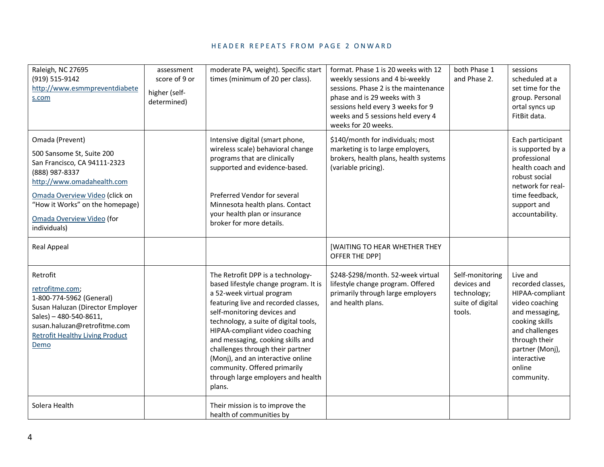| Raleigh, NC 27695<br>(919) 515-9142<br>http://www.esmmpreventdiabete<br>s.com                                                                                                                                                                  | assessment<br>score of 9 or<br>higher (self-<br>determined) | moderate PA, weight). Specific start<br>times (minimum of 20 per class).                                                                                                                                                                                                                                                                                                                                                                                | format. Phase 1 is 20 weeks with 12<br>weekly sessions and 4 bi-weekly<br>sessions. Phase 2 is the maintenance<br>phase and is 29 weeks with 3<br>sessions held every 3 weeks for 9<br>weeks and 5 sessions held every 4<br>weeks for 20 weeks. | both Phase 1<br>and Phase 2.                                                | sessions<br>scheduled at a<br>set time for the<br>group. Personal<br>ortal syncs up<br>FitBit data.                                                                                                 |
|------------------------------------------------------------------------------------------------------------------------------------------------------------------------------------------------------------------------------------------------|-------------------------------------------------------------|---------------------------------------------------------------------------------------------------------------------------------------------------------------------------------------------------------------------------------------------------------------------------------------------------------------------------------------------------------------------------------------------------------------------------------------------------------|-------------------------------------------------------------------------------------------------------------------------------------------------------------------------------------------------------------------------------------------------|-----------------------------------------------------------------------------|-----------------------------------------------------------------------------------------------------------------------------------------------------------------------------------------------------|
| Omada (Prevent)<br>500 Sansome St, Suite 200<br>San Francisco, CA 94111-2323<br>(888) 987-8337<br>http://www.omadahealth.com<br>Omada Overview Video (click on<br>"How it Works" on the homepage)<br>Omada Overview Video (for<br>individuals) |                                                             | Intensive digital (smart phone,<br>wireless scale) behavioral change<br>programs that are clinically<br>supported and evidence-based.<br>Preferred Vendor for several<br>Minnesota health plans. Contact<br>your health plan or insurance<br>broker for more details.                                                                                                                                                                                   | \$140/month for individuals; most<br>marketing is to large employers,<br>brokers, health plans, health systems<br>(variable pricing).                                                                                                           |                                                                             | Each participant<br>is supported by a<br>professional<br>health coach and<br>robust social<br>network for real-<br>time feedback,<br>support and<br>accountability.                                 |
| Real Appeal                                                                                                                                                                                                                                    |                                                             |                                                                                                                                                                                                                                                                                                                                                                                                                                                         | <b>[WAITING TO HEAR WHETHER THEY</b><br>OFFER THE DPP]                                                                                                                                                                                          |                                                                             |                                                                                                                                                                                                     |
| Retrofit<br>retrofitme.com;<br>1-800-774-5962 (General)<br>Susan Haluzan (Director Employer<br>Sales) - 480-540-8611,<br>susan.haluzan@retrofitme.com<br><b>Retrofit Healthy Living Product</b><br>Demo                                        |                                                             | The Retrofit DPP is a technology-<br>based lifestyle change program. It is<br>a 52-week virtual program<br>featuring live and recorded classes,<br>self-monitoring devices and<br>technology, a suite of digital tools,<br>HIPAA-compliant video coaching<br>and messaging, cooking skills and<br>challenges through their partner<br>(Monj), and an interactive online<br>community. Offered primarily<br>through large employers and health<br>plans. | \$248-\$298/month. 52-week virtual<br>lifestyle change program. Offered<br>primarily through large employers<br>and health plans.                                                                                                               | Self-monitoring<br>devices and<br>technology;<br>suite of digital<br>tools. | Live and<br>recorded classes,<br>HIPAA-compliant<br>video coaching<br>and messaging,<br>cooking skills<br>and challenges<br>through their<br>partner (Monj),<br>interactive<br>online<br>community. |
| Solera Health                                                                                                                                                                                                                                  |                                                             | Their mission is to improve the<br>health of communities by                                                                                                                                                                                                                                                                                                                                                                                             |                                                                                                                                                                                                                                                 |                                                                             |                                                                                                                                                                                                     |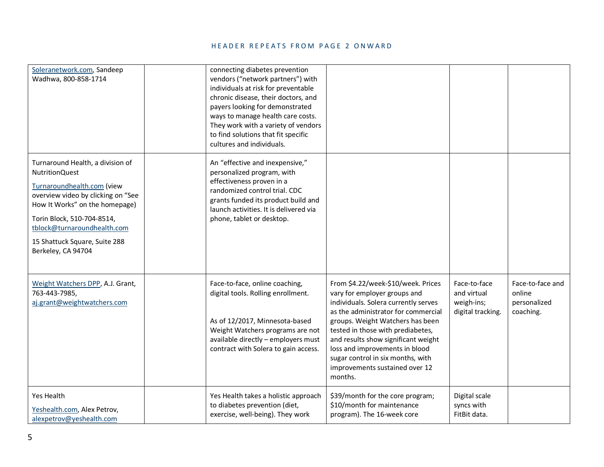| Soleranetwork.com, Sandeep<br>Wadhwa, 800-858-1714                                                                                                                                                                                                                           | connecting diabetes prevention<br>vendors ("network partners") with<br>individuals at risk for preventable<br>chronic disease, their doctors, and<br>payers looking for demonstrated<br>ways to manage health care costs.<br>They work with a variety of vendors<br>to find solutions that fit specific<br>cultures and individuals. |                                                                                                                                                                                                                                                                                                                                                                                       |                                                                |                                                         |
|------------------------------------------------------------------------------------------------------------------------------------------------------------------------------------------------------------------------------------------------------------------------------|--------------------------------------------------------------------------------------------------------------------------------------------------------------------------------------------------------------------------------------------------------------------------------------------------------------------------------------|---------------------------------------------------------------------------------------------------------------------------------------------------------------------------------------------------------------------------------------------------------------------------------------------------------------------------------------------------------------------------------------|----------------------------------------------------------------|---------------------------------------------------------|
| Turnaround Health, a division of<br>NutritionQuest<br>Turnaroundhealth.com (view<br>overview video by clicking on "See<br>How It Works" on the homepage)<br>Torin Block, 510-704-8514,<br>tblock@turnaroundhealth.com<br>15 Shattuck Square, Suite 288<br>Berkeley, CA 94704 | An "effective and inexpensive,"<br>personalized program, with<br>effectiveness proven in a<br>randomized control trial. CDC<br>grants funded its product build and<br>launch activities. It is delivered via<br>phone, tablet or desktop.                                                                                            |                                                                                                                                                                                                                                                                                                                                                                                       |                                                                |                                                         |
| Weight Watchers DPP, A.J. Grant,<br>763-443-7985,<br>aj.grant@weightwatchers.com                                                                                                                                                                                             | Face-to-face, online coaching,<br>digital tools. Rolling enrollment.<br>As of 12/2017, Minnesota-based<br>Weight Watchers programs are not<br>available directly - employers must<br>contract with Solera to gain access.                                                                                                            | From \$4.22/week-\$10/week. Prices<br>vary for employer groups and<br>individuals. Solera currently serves<br>as the administrator for commercial<br>groups. Weight Watchers has been<br>tested in those with prediabetes,<br>and results show significant weight<br>loss and improvements in blood<br>sugar control in six months, with<br>improvements sustained over 12<br>months. | Face-to-face<br>and virtual<br>weigh-ins;<br>digital tracking. | Face-to-face and<br>online<br>personalized<br>coaching. |
| Yes Health<br>Yeshealth.com, Alex Petrov,<br>alexpetrov@yeshealth.com                                                                                                                                                                                                        | Yes Health takes a holistic approach<br>to diabetes prevention (diet,<br>exercise, well-being). They work                                                                                                                                                                                                                            | \$39/month for the core program;<br>\$10/month for maintenance<br>program). The 16-week core                                                                                                                                                                                                                                                                                          | Digital scale<br>syncs with<br>FitBit data.                    |                                                         |